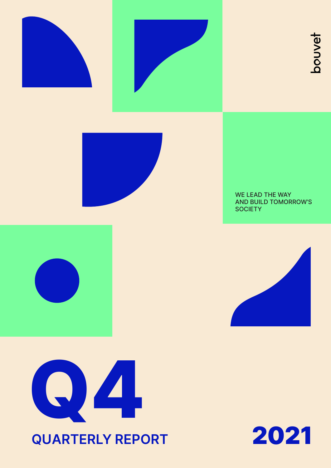







WE LEAD THE WAY AND BUILD TOMORROW'S **SOCIETY** 







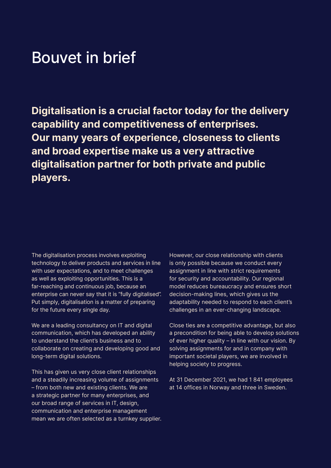### Bouvet in brief

**Digitalisation is a crucial factor today for the delivery capability and competitiveness of enterprises. Our many years of experience, closeness to clients and broad expertise make us a very attractive digitalisation partner for both private and public players.**

The digitalisation process involves exploiting technology to deliver products and services in line with user expectations, and to meet challenges as well as exploiting opportunities. This is a far-reaching and continuous job, because an enterprise can never say that it is "fully digitalised". Put simply, digitalisation is a matter of preparing for the future every single day.

We are a leading consultancy on IT and digital communication, which has developed an ability to understand the client's business and to collaborate on creating and developing good and long-term digital solutions.

This has given us very close client relationships and a steadily increasing volume of assignments – from both new and existing clients. We are a strategic partner for many enterprises, and our broad range of services in IT, design, communication and enterprise management mean we are often selected as a turnkey supplier. However, our close relationship with clients is only possible because we conduct every assignment in line with strict requirements for security and accountability. Our regional model reduces bureaucracy and ensures short decision-making lines, which gives us the adaptability needed to respond to each client's challenges in an ever-changing landscape.

Close ties are a competitive advantage, but also a precondition for being able to develop solutions of ever higher quality – in line with our vision. By solving assignments for and in company with important societal players, we are involved in helping society to progress.

At 31 December 2021, we had 1 841 employees at 14 offices in Norway and three in Sweden.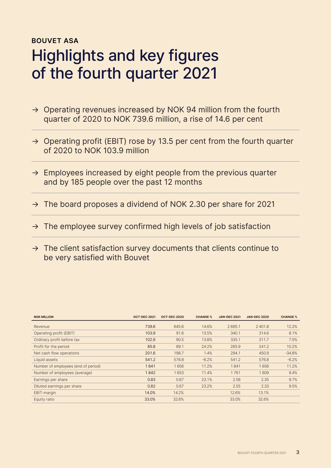### **BOUVET ASA** Highlights and key figures of the fourth quarter 2021

- $\rightarrow$  Operating revenues increased by NOK 94 million from the fourth quarter of 2020 to NOK 739.6 million, a rise of 14.6 per cent
- $\rightarrow$  Operating profit (EBIT) rose by 13.5 per cent from the fourth quarter of 2020 to NOK 103.9 million
- $\rightarrow$  Employees increased by eight people from the previous quarter and by 185 people over the past 12 months
- $\rightarrow$  The board proposes a dividend of NOK 2.30 per share for 2021
- $\rightarrow$  The employee survey confirmed high levels of job satisfaction
- $\rightarrow$  The client satisfaction survey documents that clients continue to be very satisfied with Bouvet

| <b>NOK MILLION</b>                  | <b>OCT-DEC 2021</b> | <b>OCT-DEC 2020</b> | <b>CHANGE %</b> | <b>JAN-DEC 2021</b> | <b>JAN-DEC 2020</b> | <b>CHANGE %</b> |
|-------------------------------------|---------------------|---------------------|-----------------|---------------------|---------------------|-----------------|
| Revenue                             | 739.6               | 645.6               | 14.6%           | 2695.1              | 2401.8              | 12.2%           |
| Operating profit (EBIT)             | 103.9               | 91.6                | 13.5%           | 340.1               | 314.6               | 8.1%            |
| Ordinary profit before tax          | 102.9               | 90.5                | 13.8%           | 335.1               | 311.7               | 7.5%            |
| Profit for the period               | 85.8                | 69.1                | 24.2%           | 265.9               | 241.2               | 10.2%           |
| Net cash flow operations            | 201.6               | 198.7               | 1.4%            | 294.1               | 450.9               | $-34.8%$        |
| Liquid assets                       | 541.2               | 576.8               | $-6.2%$         | 541.2               | 576.8               | $-6.2%$         |
| Number of employees (end of period) | 1841                | 1656                | 11.2%           | 1841                | 1656                | 11.2%           |
| Number of employees (average)       | 1842                | 1653                | 11.4%           | 1761                | 1609                | 9.4%            |
| Earnings per share                  | 0.83                | 0.67                | 23.1%           | 2.58                | 2.35                | 9.7%            |
| Diluted earnings per share          | 0.82                | 0.67                | 23.2%           | 2.55                | 2.33                | 9.5%            |
| EBIT-margin                         | 14.0%               | 14.2%               |                 | 12.6%               | 13.1%               |                 |
| Equity ratio                        | 33.0%               | 32.6%               |                 | 33.0%               | 32.6%               |                 |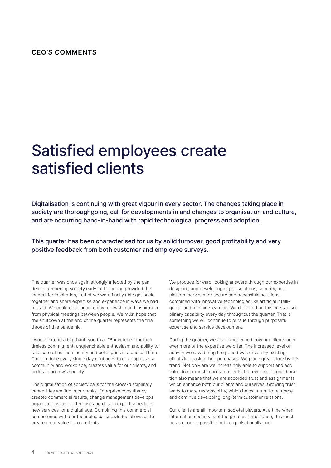### **CEO'S COMMENTS**

## Satisfied employees create satisfied clients

Digitalisation is continuing with great vigour in every sector. The changes taking place in society are thoroughgoing, call for developments in and changes to organisation and culture, and are occurring hand-in-hand with rapid technological progress and adoption.

This quarter has been characterised for us by solid turnover, good profitability and very positive feedback from both customer and employee surveys.

The quarter was once again strongly affected by the pandemic. Reopening society early in the period provided the longed-for inspiration, in that we were finally able get back together and share expertise and experience in ways we had missed. We could once again enjoy fellowship and inspiration from physical meetings between people. We must hope that the shutdown at the end of the quarter represents the final throes of this pandemic.

I would extend a big thank-you to all "Bouveteers" for their tireless commitment, unquenchable enthusiasm and ability to take care of our community and colleagues in a unusual time. The job done every single day continues to develop us as a community and workplace, creates value for our clients, and builds tomorrow's society.

The digitalisation of society calls for the cross-disciplinary capabilities we find in our ranks. Enterprise consultancy creates commercial results, change management develops organisations, and enterprise and design expertise realises new services for a digital age. Combining this commercial competence with our technological knowledge allows us to create great value for our clients.

We produce forward-looking answers through our expertise in designing and developing digital solutions, security, and platform services for secure and accessible solutions, combined with innovative technologies like artificial intelligence and machine learning. We delivered on this cross-disciplinary capability every day throughout the quarter. That is something we will continue to pursue through purposeful expertise and service development.

During the quarter, we also experienced how our clients need ever more of the expertise we offer. The increased level of activity we saw during the period was driven by existing clients increasing their purchases. We place great store by this trend. Not only are we increasingly able to support and add value to our most important clients, but ever closer collaboration also means that we are accorded trust and assignments which enhance both our clients and ourselves. Growing trust leads to more responsibility, which helps in turn to reinforce and continue developing long-term customer relations.

Our clients are all important societal players. At a time when information security is of the greatest importance, this must be as good as possible both organisationally and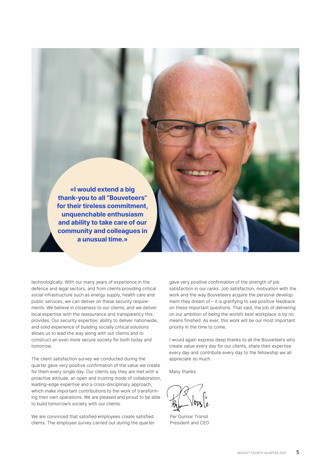**«I would extend a big thank-you to all "Bouveteers" for their tireless commitment, unquenchable enthusiasm and ability to take care of our community and colleagues in a unusual time.»**

technologically. With our many years of experience in the defence and legal sectors, and from clients providing critical social infrastructure such as energy supply, health care and public services, we can deliver on these security requirements. We believe in closeness to our clients, and we deliver local expertise with the reassurance and transparency this provides. Our security expertise, ability to deliver nationwide, and solid experience of building socially critical solutions allows us to lead the way along with our clients and to construct an even more secure society for both today and tomorrow.

The client satisfaction survey we conducted during the quarter gave very positive confirmation of the value we create for them every single day. Our clients say they are met with a proactive attitude, an open and trusting mode of collaboration, leading-edge expertise and a cross-disciplinary approach, which make important contributions to the work of transforming their own operations. We are pleased and proud to be able to build tomorrow's society with our clients.

We are convinced that satisfied employees create satisfied clients. The employee survey carried out during the quarter gave very positive confirmation of the strength of job satisfaction in our ranks. Job satisfaction, motivation with the work and the way Bouveteers acquire the personal development they dream of – it is gratifying to see positive feedback on these important questions. That said, the job of delivering on our ambition of being the world's best workplace is by no means finished. As ever, this work will be our most important priority in the time to come.

I would again express deep thanks to all the Bouveteers who create value every day for our clients, share their expertise every day and contribute every day to the fellowship we all appreciate so much.

Many thanks.

Per Gunnar Tronsli President and CEO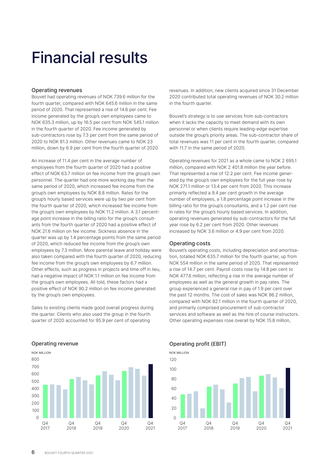## Financial results

### Operating revenues

Bouvet had operating revenues of NOK 739.6 million for the fourth quarter, compared with NOK 645.6 million in the same period of 2020. That represented a rise of 14.6 per cent. Fee income generated by the group's own employees came to NOK 635.3 million, up by 16.5 per cent from NOK 545.1 million in the fourth quarter of 2020. Fee income generated by sub-contractors rose by 7.3 per cent from the same period of 2020 to NOK 81.3 million. Other revenues came to NOK 23 million, down by 6.9 per cent from the fourth quarter of 2020.

An increase of 11.4 per cent in the average number of employees from the fourth quarter of 2020 had a positive effect of NOK 63.7 million on fee income from the group's own personnel. The quarter had one more working day than the same period of 2020, which increased fee income from the group's own employees by NOK 8.8 million. Rates for the group's hourly based services were up by two per cent from the fourth quarter of 2020, which increased fee income from the group's own employees by NOK 11.2 million. A 3.1 percentage point increase in the billing ratio for the group's consultants from the fourth quarter of 2020 had a positive effect of NOK 21.6 million on fee income. Sickness absence in the quarter was up by 1.4 percentage points from the same period of 2020, which reduced fee income from the group's own employees by 7.3 million. More parental leave and holiday were also taken compared with the fourth quarter of 2020, reducing fee income from the group's own employees by 6.7 million. Other effects, such as progress in projects and time off in lieu, had a negative impact of NOK 1.1 million on fee income from the group's own employees. All told, these factors had a positive effect of NOK 90.2 million on fee income generated by the group's own employees.

Sales to existing clients made good overall progress during the quarter. Clients who also used the group in the fourth quarter of 2020 accounted for 95.9 per cent of operating

 $\Omega$ 100 200 300  $400$ 500 600 700 800  $\Omega$ 4 2021  $\Omega$ 2020  $\Omega$ 2019  $\Omega$ 4 2018  $Q4$ 2017 **DRIFTSINNTEKTER** Operating revenue **Case Community Constructs Constructs** Operating profit (EBIT) NOK MILLION

revenues. In addition, new clients acquired since 31 December 2020 contributed total operating revenues of NOK 30.2 million in the fourth quarter.

Bouvet's strategy is to use services from sub-contractors when it lacks the capacity to meet demand with its own personnel or when clients require leading-edge expertise outside the group's priority areas. The sub-contractor share of total revenues was 11 per cent in the fourth quarter, compared with 11.7 in the same period of 2020.

Operating revenues for 2021 as a whole came to NOK 2 695.1 million, compared with NOK 2 401.8 million the year before. That represented a rise of 12.2 per cent. Fee income generated by the group's own employees for the full year rose by NOK 271.1 million or 13.4 per cent from 2020. This increase primarily reflected a 9.4 per cent growth in the average number of employees, a 1.8 percentage point increase in the billing ratio for the group's consultants, and a 1.2 per cent rise in rates for the group's hourly based services. In addition, operating revenues generated by sub-contractors for the full year rose by 6.2 per cent from 2020. Other revenues increased by NOK 3.6 million or 4.9 per cent from 2020.

### Operating costs

Bouvet's operating costs, including depreciation and amortisation, totalled NOK 635.7 million for the fourth quarter, up from NOK 554 million in the same period of 2020. That represented a rise of 14.7 per cent. Payroll costs rose by 14.8 per cent to NOK 477.6 million, reflecting a rise in the average number of employees as well as the general growth in pay rates. The group experienced a general rise in pay of 1.9 per cent over the past 12 months. The cost of sales was NOK 86.2 million, compared with NOK 82.1 million in the fourth quarter of 2020, and primarily comprised procurement of sub-contractor services and software as well as the hire of course instructors. Other operating expenses rose overall by NOK 15.8 million,

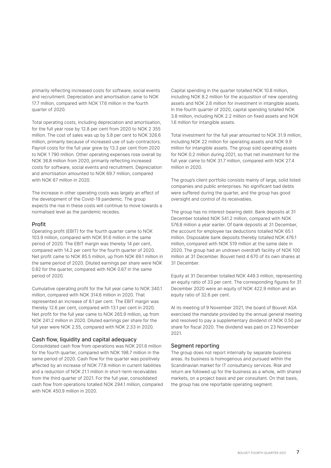primarily reflecting increased costs for software, social events and recruitment. Depreciation and amortisation came to NOK 17.7 million, compared with NOK 17.6 million in the fourth quarter of 2020.

Total operating costs, including depreciation and amortisation, for the full year rose by 12.8 per cent from 2020 to NOK 2 355 million. The cost of sales was up by 5.8 per cent to NOK 326.6 million, primarily because of increased use of sub-contractors. Payroll costs for the full year grew by 13.3 per cent from 2020 to NOK 1 790 million. Other operating expenses rose overall by NOK 36.8 million from 2020, primarily reflecting increased costs for software, social events and recruitment. Depreciation and amortisation amounted to NOK 69.7 million, compared with NOK 67 million in 2020.

The increase in other operating costs was largely an effect of the development of the Covid-19 pandemic. The group expects the rise in these costs will continue to move towards a normalised level as the pandemic recedes.

### Profit

Operating profit (EBIT) for the fourth quarter came to NOK 103.9 million, compared with NOK 91.6 million in the same period of 2020. The EBIT margin was thereby 14 per cent, compared with 14.2 per cent for the fourth quarter of 2020. Net profit came to NOK 85.5 million, up from NOK 69.1 million in the same period of 2020. Diluted earnings per share were NOK 0.82 for the quarter, compared with NOK 0.67 in the same period of 2020.

Cumulative operating profit for the full year came to NOK 340.1 million, compared with NOK 314.6 million in 2020. That represented an increase of 8.1 per cent. The EBIT margin was thereby 12.6 per cent, compared with 13.1 per cent in 2020. Net profit for the full year came to NOK 265.9 million, up from NOK 241.2 million in 2020. Diluted earnings per share for the full year were NOK 2.55, compared with NOK 2.33 in 2020.

#### Cash flow, liquidity and capital adequacy

Consolidated cash flow from operations was NOK 201.6 million for the fourth quarter, compared with NOK 198.7 million in the same period of 2020. Cash flow for the quarter was positively affected by an increase of NOK 77.8 million in current liabilities and a reduction of NOK 21.1 million in short-term receivables from the third quarter of 2021. For the full year, consolidated cash flow from operations totalled NOK 294.1 million, compared with NOK 450.9 million in 2020.

Capital spending in the quarter totalled NOK 10.8 million, including NOK 8.2 million for the acquisition of new operating assets and NOK 2.6 million for investment in intangible assets. In the fourth quarter of 2020, capital spending totalled NOK 3.8 million, including NOK 2.2 million on fixed assets and NOK 1.6 million for intangible assets.

Total investment for the full year amounted to NOK 31.9 million, including NOK 22 million for operating assets and NOK 9.9 million for intangible assets. The group sold operating assets for NOK 0.2 million during 2021, so that net investment for the full year came to NOK 31.7 million, compared with NOK 27.4 million in 2020.

The group's client portfolio consists mainly of large, solid listed companies and public enterprises. No significant bad debts were suffered during the quarter, and the group has good oversight and control of its receivables.

The group has no interest-bearing debt. Bank deposits at 31 December totalled NOK 541.2 million, compared with NOK 576.8 million a year earlier. Of bank deposits at 31 December, the account for employee tax deductions totalled NOK 65.1 million. Disposable bank deposits thereby totalled NOK 476.1 million, compared with NOK 519 million at the same date in 2020. The group had an undrawn overdraft facility of NOK 100 million at 31 December. Bouvet held 4 670 of its own shares at 31 December.

Equity at 31 December totalled NOK 449.3 million, representing an equity ratio of 33 per cent. The corresponding figures for 31 December 2020 were an equity of NOK 422.9 million and an equity ratio of 32.6 per cent.

At its meeting of 9 November 2021, the board of Bouvet ASA exercised the mandate provided by the annual general meeting and resolved to pay a supplementary dividend of NOK 0.50 per share for fiscal 2020. The dividend was paid on 23 November 2021.

### Segment reporting

The group does not report internally by separate business areas. Its business is homogenous and pursued within the Scandinavian market for IT consultancy services. Risk and return are followed up for the business as a whole, with shared markets, on a project basis and per consultant. On that basis, the group has one reportable operating segment.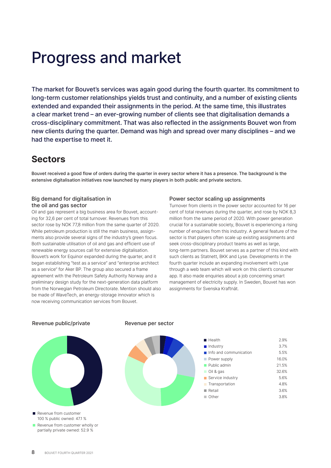## Progress and market

The market for Bouvet's services was again good during the fourth quarter. Its commitment to long-term customer relationships yields trust and continuity, and a number of existing clients extended and expanded their assignments in the period. At the same time, this illustrates a clear market trend – an ever-growing number of clients see that digitalisation demands a cross-disciplinary commitment. That was also reflected in the assignments Bouvet won from new clients during the quarter. Demand was high and spread over many disciplines – and we had the expertise to meet it.

### **Sectors**

Bouvet received a good flow of orders during the quarter in every sector where it has a presence. The background is the extensive digitalisation initiatives now launched by many players in both public and private sectors.

### Big demand for digitalisation in the oil and gas sector

Oil and gas represent a big business area for Bouvet, accounting for 32,6 per cent of total turnover. Revenues from this sector rose by NOK 77,8 million from the same quarter of 2020. While petroleum production is still the main business, assignments also provide several signs of the industry's green focus. Both sustainable utilisation of oil and gas and efficient use of renewable energy sources call for extensive digitalisation. Bouvet's work for Equinor expanded during the quarter, and it began establishing "test as a service" and "enterprise architect as a service" for Aker BP. The group also secured a frame agreement with the Petroleum Safety Authority Norway and a preliminary design study for the next-generation data platform from the Norwegian Petroleum Directorate. Mention should also be made of WaveTech, an energy-storage innovator which is now receiving communication services from Bouvet.

### Power sector scaling up assignments

Turnover from clients in the power sector accounted for 16 per cent of total revenues during the quarter, and rose by NOK 8,3 million from the same period of 2020. With power generation crucial for a sustainable society, Bouvet is experiencing a rising number of enquiries from this industry. A general feature of the sector is that players often scale up existing assignments and seek cross-disciplinary product teams as well as large, long-term partners. Bouvet serves as a partner of this kind with such clients as Statnett, BKK and Lyse. Developments in the fourth quarter include an expanding involvement with Lyse through a web team which will work on this client's consumer app. It also made enquiries about a job concerning smart management of electricity supply. In Sweden, Bouvet has won assignments for Svenska Kraftnät.

### Revenue public/private



Revenue from customer 100 % public owned: 47.1 %

Revenue from customer wholly or partially private owned: 52.9 %

#### Revenue per sector



| $H$ Health                            | 2.9%  |
|---------------------------------------|-------|
| $\blacksquare$ Industry               | 37%   |
| $\blacksquare$ Info and communication | 5.5%  |
| Power supply                          | 16.0% |
| Public admin                          | 21.5% |
| Oil & gas                             | 32.6% |
| Service industry                      | 5.6%  |
| <b>Transportation</b>                 | 48%   |
| Retail                                | 3.6%  |
| Other                                 | 38%   |
|                                       |       |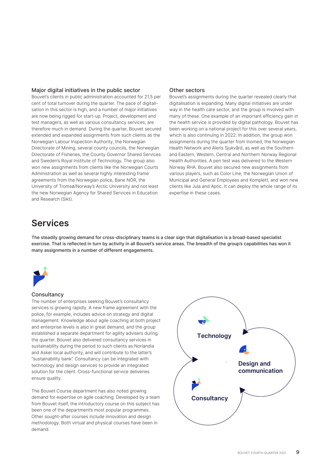### Major digital initiatives in the public sector

Bouvet's clients in public administration accounted for 21,5 per cent of total turnover during the quarter. The pace of digitalisation in this sector is high, and a number of major initiatives are now being rigged for start-up. Project, development and test managers, as well as various consultancy services, are therefore much in demand. During the quarter, Bouvet secured extended and expanded assignments from such clients as the Norwegian Labour Inspection Authority, the Norwegian Directorate of Mining, several county councils, the Norwegian Directorate of Fisheries, the County Governor Shared Services and Sweden's Royal Institute of Technology. The group also won new assignments from clients like the Norwegian Courts Administration as well as several highly interesting frame agreements from the Norwegian police, Bane NOR, the University of Tromsø/Norway's Arctic University and not least the new Norwegian Agency for Shared Services in Education and Research (Sikt).

### Other sectors

Bouvet's assignments during the quarter revealed clearly that digitalisation is expanding. Many digital initiatives are under way in the health care sector, and the group is involved with many of these. One example of an important efficiency gain in the health service is provided by digital pathology. Bouvet has been working on a national project for this over several years, which is also continuing in 2022. In addition, the group won assignments during the quarter from Inomed, the Norwegian Health Network and Aleris Sjukvård, as well as the Southern and Eastern, Western, Central and Northern Norway Regional Health Authorities. A pen test was delivered to the Western Norway RHA. Bouvet also secured new assignments from various players, such as Color Line, the Norwegian Union of Municipal and General Employees and Komplett, and won new clients like Jula and Aptic. It can deploy the whole range of its expertise in these cases.

### **Services**

The steadily growing demand for cross-disciplinary teams is a clear sign that digitalisation is a broad-based specialist exercise. That is reflected in turn by activity in all Bouvet's service areas. The breadth of the group's capabilities has won it exercise. many assignments in a number of different engagements.<br>*k* 



### **Consultancy**

**Rådgivning** The number of enterprises seeking Bouvet's consultancy services is growing rapidly. A new frame agreement with the police, for example, includes advice on strategy and digital management. Knowledge about agile coaching at both project and enterprise levels is also in great demand, and the group established a separate department for agility advisers during the quarter. Bouvet also delivered consultancy services in sustainability during the period to such clients as Norlandia and Asker local authority, and will contribute to the latter's "sustainability bank". Consultancy can be integrated with technology and design services to provide an integrated solution for the client. Cross-functional service deliveries ensure quality.

The Bouvet Course department has also noted growing demand for expertise on agile coaching. Developed by a team from Bouvet itself, the introductory course on this subject has been one of the department's most popular programmes. Other sought-after courses include innovation and design methodology. Both virtual and physical courses have been in demand.

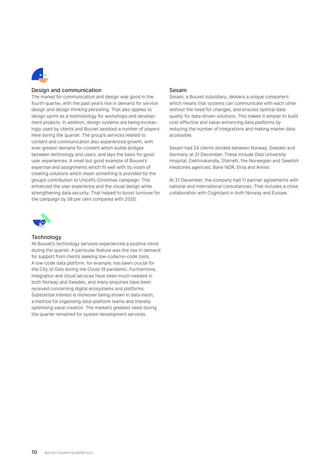

### Design and communication

The market for communication and design was good in the fourth quarter with the past vear's rise in demand for servidesign and design thinking persisting. That also applies to fourth quarter, with the past year's rise in demand for service design sprint as a methodology for workshops and development projects. In addition, design systems are being increasingly used by clients and Bouvet assisted a number of players here during the quarter. The group's services related to content and communication also experienced growth, with ever-greater demand for content which builds bridges between technology and users, and lays the basis for good user experiences. A small but good example of Bouvet's expertise and assignments which fit well with its vision of creating solutions which mean something is provided by the group's contribution to Unicef's Christmas campaign. This enhanced the user experience and the visual design while strengthening data security. That helped to boost turnover for the campaign by 58 per cent compared with 2020.



### **Technology**

received concerning digital ecosystems and platforms.<br>Substantial interest is moreover being shown in data m a method for organising data-platform teams and thereby<br>entimising value creation. The market's greatest pood during All Bouvet's technology services experienced a positive trend<br>during the quarter. A particular feature was the rise in demanduring the quarter. A particular feature was the rise in demand for support from clients seeking low-code/no-code tools. A low-code data platform, for example, has been crucial for the City of Oslo during the Covid 19 pandemic. Furthermore, integration and cloud services have been much-needed in both Norway and Sweden, and many enquiries have been Substantial interest is moreover being shown in data mesh, optimising value creation. The market's greatest need during the quarter remained for system development services.

#### Sesam

Sesam, a Bouvet subsidiary, delivers a unique component which means that systems can communicate with each other without the need for changes, and ensures optimal data quality for data-driven solutions. This makes it simpler to build cost-effective and value-enhancing data platforms by reducing the number of integrations and making master data accessible.

Sesam had 24 clients divided between Norway, Sweden and Germany at 31 December. These include Oslo University Hospital, Elektroskandia, Statnett, the Norwegian and Swedish medicines agencies, Bane NOR, Elvia and Avinor.

At 31 December, the company had 11 partner agreements with national and international consultancies. That includes a close collaboration with Cognizant in both Norway and Europe.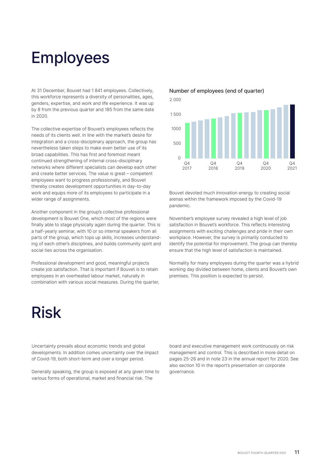## Employees

At 31 December, Bouvet had 1 841 employees. Collectively, this workforce represents a diversity of personalities, ages, genders, expertise, and work and life experience. It was up by 8 from the previous quarter and 185 from the same date in 2020.

The collective expertise of Bouvet's employees reflects the needs of its clients well. In line with the market's desire for integration and a cross-disciplinary approach, the group has nevertheless taken steps to make even better use of its broad capabilities. This has first and foremost meant continued strengthening of internal cross-disciplinary networks where different specialists can develop each other and create better services. The value is great – competent employees want to progress professionally, and Bouvet thereby creates development opportunities in day-to-day work and equips more of its employees to participate in a wider range of assignments.

Another component in the group's collective professional development is Bouvet One, which most of the regions were finally able to stage physically again during the quarter. This is a half-yearly seminar, with 10 or so internal speakers from all parts of the group, which tops up skills, increases understanding of each other's disciplines, and builds community spirit and social ties across the organisation.

Professional development and good, meaningful projects create job satisfaction. That is important if Bouvet is to retain employees in an overheated labour market, naturally in combination with various social measures. During the quarter,

## Risk

### Number of employees (end of quarter)





Bouvet devoted much innovation energy to creating social arenas within the framework imposed by the Covid-19 pandemic.

November's employee survey revealed a high level of job satisfaction in Bouvet's workforce. This reflects interesting assignments with exciting challenges and pride in their own workplace. However, the survey is primarily conducted to identify the potential for improvement. The group can thereby ensure that the high level of satisfaction is maintained.

Normality for many employees during the quarter was a hybrid working day divided between home, clients and Bouvet's own premises. This position is expected to persist.

Uncertainty prevails about economic trends and global developments. In addition comes uncertainty over the impact of Covid-19, both short-term and over a longer period.

Generally speaking, the group is exposed at any given time to various forms of operational, market and financial risk. The

board and executive management work continuously on risk management and control. This is described in more detail on pages 25-26 and in note 23 in the annual report for 2020. See also section 10 in the report's presentation on corporate governance.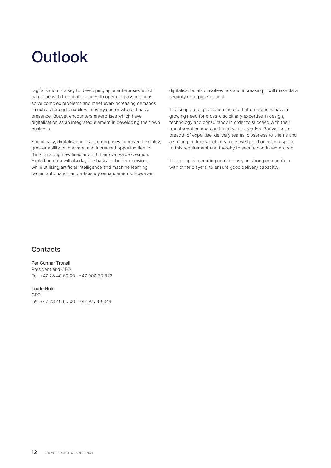## **Outlook**

Digitalisation is a key to developing agile enterprises which can cope with frequent changes to operating assumptions, solve complex problems and meet ever-increasing demands – such as for sustainability. In every sector where it has a presence, Bouvet encounters enterprises which have digitalisation as an integrated element in developing their own business.

Specifically, digitalisation gives enterprises improved flexibility, greater ability to innovate, and increased opportunities for thinking along new lines around their own value creation. Exploiting data will also lay the basis for better decisions, while utilising artificial intelligence and machine learning permit automation and efficiency enhancements. However,

digitalisation also involves risk and increasing it will make data security enterprise-critical.

The scope of digitalisation means that enterprises have a growing need for cross-disciplinary expertise in design, technology and consultancy in order to succeed with their transformation and continued value creation. Bouvet has a breadth of expertise, delivery teams, closeness to clients and a sharing culture which mean it is well positioned to respond to this requirement and thereby to secure continued growth.

The group is recruiting continuously, in strong competition with other players, to ensure good delivery capacity.

### **Contacts**

Per Gunnar Tronsli President and CEO Tel: +47 23 40 60 00 | +47 900 20 622

Trude Hole CFO Tel: +47 23 40 60 00 | +47 977 10 344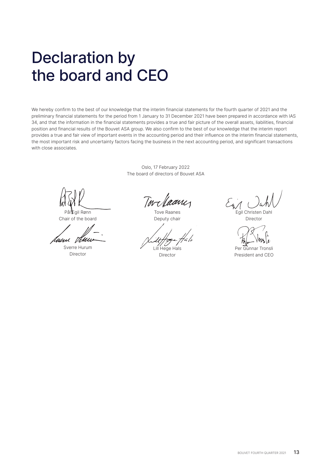## Declaration by the board and CEO

We hereby confirm to the best of our knowledge that the interim financial statements for the fourth quarter of 2021 and the preliminary financial statements for the period from 1 January to 31 December 2021 have been prepared in accordance with IAS 34, and that the information in the financial statements provides a true and fair picture of the overall assets, liabilities, financial position and financial results of the Bouvet ASA group. We also confirm to the best of our knowledge that the interim report provides a true and fair view of important events in the accounting period and their influence on the interim financial statements, the most important risk and uncertainty factors facing the business in the next accounting period, and significant transactions with close associates.

> Oslo, 17 February 2022 The board of directors of Bouvet ASA

Pål Egil Rønn Chair of the board

Uuni Tehli

Sverre Hurum Director

Tove Raanes Deputy chair

Lill Hege Hals

Director

Egil Christen Dahl

Director

Per Gunnar Tronsli President and CEO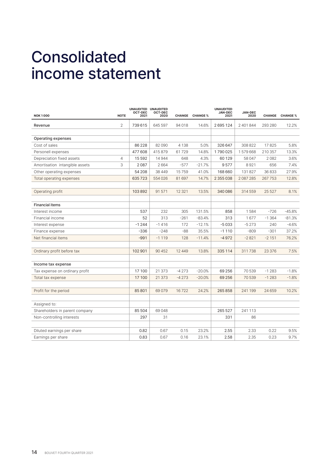## Consolidated income statement

| <b>NOTE</b><br><b>NOK1000</b>               | UNAUDITED UNAUDITED<br><b>OCT-DEC</b><br>2021 | <b>OCT-DEC</b><br>2020 |          | <b>CHANGE CHANGE %</b> | <b>UNAUDITED</b><br><b>JAN-DEC</b><br>2021 | <b>JAN-DEC</b><br>2020 |          | CHANGE CHANGE % |
|---------------------------------------------|-----------------------------------------------|------------------------|----------|------------------------|--------------------------------------------|------------------------|----------|-----------------|
| $\overline{2}$<br>Revenue                   | 739615                                        | 645 597                | 94018    | 14.6%                  | 2695124                                    | 2 401 844              | 293 280  | 12.2%           |
|                                             |                                               |                        |          |                        |                                            |                        |          |                 |
| Operating expenses                          |                                               |                        |          |                        |                                            |                        |          |                 |
| Cost of sales                               | 86 2 28                                       | 82090                  | 4 1 3 8  | 5.0%                   | 326 647                                    | 308 822                | 17825    | 5.8%            |
| Personell expenses                          | 477 608                                       | 415879                 | 61729    | 14.8%                  | 1790025                                    | 1579668                | 210 357  | 13.3%           |
| $\overline{4}$<br>Depreciation fixed assets | 15 592                                        | 14944                  | 648      | 4.3%                   | 60 129                                     | 58 047                 | 2082     | 3.6%            |
| 3<br>Amortisation intangible assets         | 2087                                          | 2664                   | $-577$   | $-21.7%$               | 9577                                       | 8921                   | 656      | 7.4%            |
| Other operating expenses                    | 54 208                                        | 38 4 4 9               | 15759    | 41.0%                  | 168 660                                    | 131 827                | 36833    | 27.9%           |
| Total operating expenses                    | 635723                                        | 554026                 | 81697    | 14.7%                  | 2 3 5 5 0 3 8                              | 2087285                | 267753   | 12.8%           |
|                                             |                                               |                        |          |                        |                                            |                        |          |                 |
| Operating profit                            | 103892                                        | 91571                  | 12 3 21  | 13.5%                  | 340 086                                    | 314 559                | 25 5 27  | 8.1%            |
|                                             |                                               |                        |          |                        |                                            |                        |          |                 |
| <b>Financial items</b>                      |                                               |                        |          |                        |                                            |                        |          |                 |
| Interest income                             | 537                                           | 232                    | 305      | 131.5%                 | 858                                        | 1584                   | $-726$   | $-45.8%$        |
| Financial income                            | 52                                            | 313                    | $-261$   | $-83.4%$               | 313                                        | 1677                   | $-1.364$ | $-81.3%$        |
| Interest expense                            | $-1244$                                       | $-1416$                | 172      | $-12.1%$               | $-5033$                                    | $-5273$                | 240      | $-4.6%$         |
| Finance expense                             | $-336$                                        | $-248$                 | $-88$    | 35.5%                  | $-1110$                                    | $-809$                 | $-301$   | 37.2%           |
| Net financial items                         | $-991$                                        | $-1119$                | 128      | $-11.4%$               | $-4972$                                    | $-2821$                | $-2151$  | 76.2%           |
|                                             |                                               |                        |          |                        |                                            |                        |          |                 |
| Ordinary profit before tax                  | 102 901                                       | 90 452                 | 12 4 4 9 | 13.8%                  | 335 114                                    | 311738                 | 23 376   | 7.5%            |
|                                             |                                               |                        |          |                        |                                            |                        |          |                 |
| Income tax expense                          |                                               |                        |          |                        |                                            |                        |          |                 |
| Tax expense on ordinary profit              | 17 100                                        | 21 373                 | $-4273$  | $-20.0%$               | 69 25 6                                    | 70 539                 | $-1283$  | $-1.8%$         |
| Total tax expense                           | 17 100                                        | 21 373                 | $-4273$  | $-20.0%$               | 69 25 6                                    | 70539                  | $-1283$  | $-1.8%$         |
|                                             |                                               |                        |          |                        |                                            |                        |          |                 |
| Profit for the period                       | 85801                                         | 69079                  | 16722    | 24.2%                  | 265858                                     | 241 199                | 24 659   | 10.2%           |
|                                             |                                               |                        |          |                        |                                            |                        |          |                 |
| Assigned to:                                |                                               |                        |          |                        |                                            |                        |          |                 |
| Shareholders in parent company              | 85 504                                        | 69048                  |          |                        | 265 527                                    | 241 113                |          |                 |
| Non-controlling interests                   | 297                                           | 31                     |          |                        | 331                                        | 86                     |          |                 |
|                                             |                                               |                        |          |                        |                                            |                        |          |                 |
| Diluted earnings per share                  | 0.82                                          | 0.67                   | 0.15     | 23.2%                  | 2.55                                       | 2.33                   | 0.22     | 9.5%            |
| Earnings per share                          | 0.83                                          | 0.67                   | 0.16     | 23.1%                  | 2.58                                       | 2.35                   | 0.23     | 9.7%            |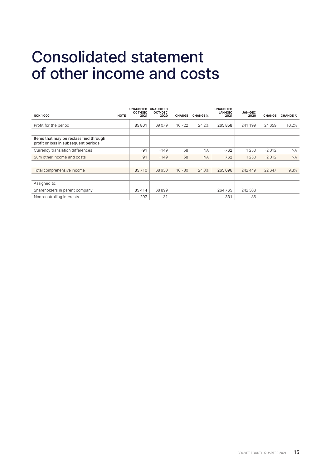### Consolidated statement of other income and costs

| <b>NOK1000</b>                                                                 | <b>UNAUDITED</b><br><b>OCT-DEC</b><br>2021<br><b>NOTE</b> | <b>UNAUDITED</b><br>OCT-DEC<br>2020 | <b>CHANGE</b> | <b>CHANGE %</b> | <b>UNAUDITED</b><br><b>JAN-DEC</b><br>2021 | <b>JAN-DEC</b><br>2020 | <b>CHANGE</b> | <b>CHANGE %</b> |
|--------------------------------------------------------------------------------|-----------------------------------------------------------|-------------------------------------|---------------|-----------------|--------------------------------------------|------------------------|---------------|-----------------|
| Profit for the period                                                          | 85801                                                     | 69079                               | 16722         | 24.2%           | 265858                                     | 241 199                | 24 659        | 10.2%           |
| Items that may be reclassified through<br>profit or loss in subsequent periods |                                                           |                                     |               |                 |                                            |                        |               |                 |
| Currency translation differences                                               | $-91$                                                     | $-149$                              | 58            | <b>NA</b>       | $-762$                                     | 1 250                  | $-2012$       | <b>NA</b>       |
| Sum other income and costs                                                     | $-91$                                                     | $-149$                              | 58            | <b>NA</b>       | $-762$                                     | 1 2 5 0                | $-2012$       | <b>NA</b>       |
|                                                                                |                                                           |                                     |               |                 |                                            |                        |               |                 |
| Total comprehensive income                                                     | 85710                                                     | 68930                               | 16780         | 24.3%           | 265 096                                    | 242 449                | 22 647        | 9.3%            |
|                                                                                |                                                           |                                     |               |                 |                                            |                        |               |                 |
| Assigned to:                                                                   |                                                           |                                     |               |                 |                                            |                        |               |                 |
| Shareholders in parent company                                                 | 85414                                                     | 68899                               |               |                 | 264765                                     | 242 363                |               |                 |
| Non-controlling interests                                                      | 297                                                       | 31                                  |               |                 | 331                                        | 86                     |               |                 |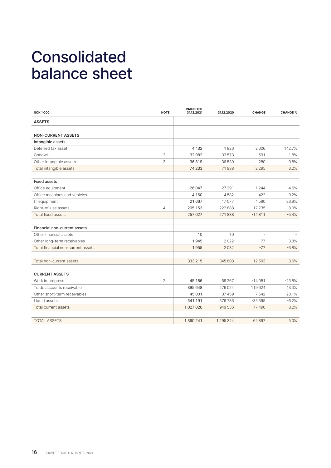## Consolidated balance sheet

| <b>NOK1000</b>                     | <b>NOTE</b>    | <b>UNAUDITED</b><br>31.12.2021 | 31.12.2020 | <b>CHANGE</b> | <b>CHANGE %</b> |
|------------------------------------|----------------|--------------------------------|------------|---------------|-----------------|
| <b>ASSETS</b>                      |                |                                |            |               |                 |
| <b>NON-CURRENT ASSETS</b>          |                |                                |            |               |                 |
| Intangible assets                  |                |                                |            |               |                 |
| Deferred tax asset                 |                | 4432                           | 1826       | 2606          | 142.7%          |
| Goodwill                           | 3              | 32982                          | 33573      | $-591$        | $-1.8%$         |
| Other intangible assets            | 3              | 36819                          | 36 539     | 280           | 0.8%            |
| Total intangible assets            |                | 74 233                         | 71938      | 2 2 9 5       | 3.2%            |
| <b>Fixed assets</b>                |                |                                |            |               |                 |
| Office equipment                   |                | 26 047                         | 27 291     | $-1244$       | $-4.6%$         |
| Office machines and vehicles       |                | 4 1 6 0                        | 4582       | $-422$        | $-9.2%$         |
| IT equipment                       |                | 21 667                         | 17077      | 4590          | 26.9%           |
| Right-of-use assets                | $\overline{4}$ | 205 153                        | 222 888    | $-17735$      | $-8.0%$         |
| Total fixed assets                 |                | 257 027                        | 271838     | $-14811$      | $-5.4%$         |
|                                    |                |                                |            |               |                 |
| Financial non-current assets       |                |                                |            |               |                 |
| Other financial assets             |                | 10                             | 10         |               |                 |
| Other long-term receivables        |                | 1945                           | 2022       | $-77$         | $-3.8%$         |
| Total financial non-current assets |                | 1955                           | 2032       | $-77$         | $-3.8%$         |
| Total non-current assets           |                | 333 215                        | 345808     | $-12593$      | $-3.6%$         |
| <b>CURRENT ASSETS</b>              |                |                                |            |               |                 |
| Work in progress                   | $\overline{2}$ | 45 186                         | 59 267     | $-14081$      | $-23.8%$        |
| Trade accounts receivable          |                | 395 648                        | 276024     | 119624        | 43.3%           |
| Other short-term receivables       |                | 45 001                         | 37 459     | 7542          | 20.1%           |
| Liquid assets                      |                | 541 191                        | 576786     | $-35595$      | $-6.2%$         |
| Total current assets               |                | 1027026                        | 949 536    | 77490         | 8.2%            |
|                                    |                |                                |            |               |                 |
| <b>TOTAL ASSETS</b>                |                | 1 360 241                      | 1 295 344  | 64897         | 5.0%            |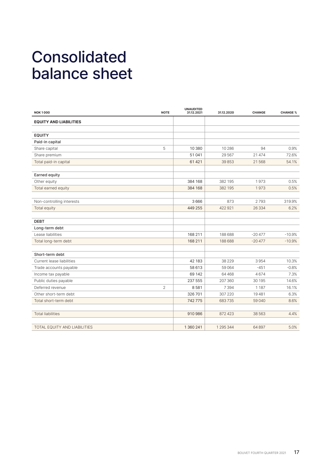## Consolidated balance sheet

| <b>NOK1000</b>                | <b>NOTE</b> | <b>UNAUDITED</b><br>31.12.2021 | 31.12.2020 | <b>CHANGE</b> | <b>CHANGE %</b> |
|-------------------------------|-------------|--------------------------------|------------|---------------|-----------------|
| <b>EQUITY AND LIABILITIES</b> |             |                                |            |               |                 |
|                               |             |                                |            |               |                 |
| <b>EQUITY</b>                 |             |                                |            |               |                 |
| Paid-in capital               |             |                                |            |               |                 |
| Share capital                 | 5           | 10 3 80                        | 10 286     | 94            | 0.9%            |
| Share premium                 |             | 51041                          | 29567      | 21 4 7 4      | 72.6%           |
| Total paid-in capital         |             | 61421                          | 39853      | 21568         | 54.1%           |
| <b>Earned equity</b>          |             |                                |            |               |                 |
| Other equity                  |             | 384 168                        | 382 195    | 1973          | 0.5%            |
| Total earned equity           |             | 384 168                        | 382 195    | 1973          | 0.5%            |
| Non-controlling interests     |             | 3666                           | 873        | 2793          | 319.9%          |
| Total equity                  |             | 449 255                        | 422921     | 26 3 34       | 6.2%            |
|                               |             |                                |            |               |                 |
| <b>DEBT</b>                   |             |                                |            |               |                 |
| Long-term debt                |             |                                |            |               |                 |
| Lease liabilities             |             | 168 211                        | 188 688    | $-20477$      | $-10.9%$        |
| Total long-term debt          |             | 168 211                        | 188 688    | $-20477$      | $-10.9%$        |
| Short-term debt               |             |                                |            |               |                 |
| Current lease liabilities     |             | 42 183                         | 38 2 2 9   | 3954          | 10.3%           |
| Trade accounts payable        |             | 58 613                         | 59064      | $-451$        | $-0.8%$         |
| Income tax payable            |             | 69 142                         | 64 4 68    | 4674          | 7.3%            |
| Public duties payable         |             | 237 555                        | 207 360    | 30 195        | 14.6%           |
| Deferred revenue              | 2           | 8581                           | 7394       | 1 1 8 7       | 16.1%           |
| Other short-term debt         |             | 326701                         | 307 220    | 19481         | 6.3%            |
| Total short-term debt         |             | 742775                         | 683735     | 59 040        | 8.6%            |
| <b>Total liabilities</b>      |             | 910986                         | 872 423    | 38 563        | 4.4%            |
|                               |             |                                |            |               |                 |
| TOTAL EQUITY AND LIABILITIES  |             | 1 360 241                      | 1 295 344  | 64 897        | 5.0%            |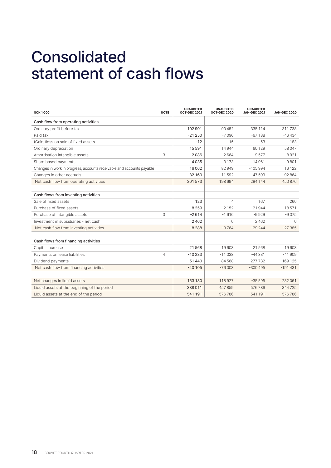## Consolidated statement of cash flows

| <b>NOK1000</b>                                                        | <b>NOTE</b> | <b>UNAUDITED</b><br><b>OCT-DEC 2021</b> | <b>UNAUDITED</b><br><b>OCT-DEC 2020</b> | <b>UNAUDITED</b><br><b>JAN-DEC 2021</b> | <b>JAN-DEC 2020</b> |
|-----------------------------------------------------------------------|-------------|-----------------------------------------|-----------------------------------------|-----------------------------------------|---------------------|
| Cash flow from operating activities                                   |             |                                         |                                         |                                         |                     |
| Ordinary profit before tax                                            |             | 102 901                                 | 90 452                                  | 335 114                                 | 311738              |
| Paid tax                                                              |             | $-21250$                                | $-7096$                                 | $-67188$                                | $-46434$            |
| (Gain)/loss on sale of fixed assets                                   |             | $-12$                                   | 15                                      | -53                                     | $-183$              |
| Ordinary depreciation                                                 |             | 15 591                                  | 14944                                   | 60 1 29                                 | 58 047              |
| Amortisation intangible assets                                        | 3           | 2086                                    | 2664                                    | 9577                                    | 8921                |
| Share based payments                                                  |             | 4035                                    | 3 1 7 3                                 | 14961                                   | 9801                |
| Changes in work in progress, accounts receivable and accounts payable |             | 16 062                                  | 82949                                   | $-105994$                               | 16 122              |
| Changes in other accruals                                             |             | 82 160                                  | 11592                                   | 47599                                   | 92864               |
| Net cash flow from operating activities                               |             | 201573                                  | 198694                                  | 294 144                                 | 450876              |
|                                                                       |             |                                         |                                         |                                         |                     |
| Cash flows from investing activities                                  |             |                                         |                                         |                                         |                     |
| Sale of fixed assets                                                  |             | 123                                     | 4                                       | 167                                     | 260                 |
| Purchase of fixed assets                                              |             | $-8259$                                 | $-2152$                                 | $-21944$                                | $-18571$            |
| Purchase of intangible assets                                         | 3           | $-2614$                                 | $-1616$                                 | $-9929$                                 | $-9075$             |
| Investment in subsidiaries - net cash                                 |             | 2462                                    | $\Omega$                                | 2462                                    | $\Omega$            |
| Net cash flow from investing activities                               |             | $-8288$                                 | $-3764$                                 | $-29244$                                | $-27.385$           |
|                                                                       |             |                                         |                                         |                                         |                     |
| Cash flows from financing activities                                  |             |                                         |                                         |                                         |                     |
| Capital increase                                                      |             | 21568                                   | 19603                                   | 21568                                   | 19603               |
| Payments on lease liabilities                                         | 4           | $-10233$                                | $-11038$                                | $-44331$                                | $-41909$            |
| Dividend payments                                                     |             | $-51440$                                | $-84568$                                | $-277732$                               | $-169$ 125          |
| Net cash flow from financing activities                               |             | $-40105$                                | $-76003$                                | $-300495$                               | $-191431$           |
|                                                                       |             |                                         |                                         |                                         |                     |
| Net changes in liquid assets                                          |             | 153 180                                 | 118927                                  | $-35595$                                | 232 061             |
| Liquid assets at the beginning of the period                          |             | 388 011                                 | 457859                                  | 576786                                  | 344725              |
| Liquid assets at the end of the period                                |             | 541 191                                 | 576786                                  | 541 191                                 | 576786              |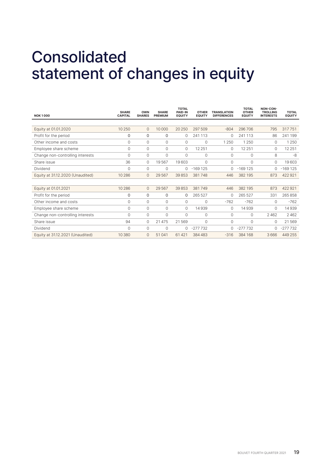## Consolidated statement of changes in equity

| <b>NOK1000</b>                   | <b>SHARE</b><br><b>CAPITAL</b> | <b>OWN</b><br><b>SHARES</b> | <b>SHARE</b><br><b>PREMIUM</b> | <b>TOTAL</b><br><b>PAID-IN</b><br><b>EQUITY</b> | <b>OTHER</b><br><b>EQUITY</b> | <b>TRANSLATION</b><br><b>DIFFERENCES</b> | <b>TOTAL</b><br><b>OTHER</b><br><b>EQUITY</b> | NON-CON-<br><b>TROLLING</b><br><b>INTERESTS</b> | <b>TOTAL</b><br><b>EQUITY</b> |
|----------------------------------|--------------------------------|-----------------------------|--------------------------------|-------------------------------------------------|-------------------------------|------------------------------------------|-----------------------------------------------|-------------------------------------------------|-------------------------------|
|                                  |                                |                             |                                |                                                 |                               |                                          |                                               |                                                 |                               |
| Equity at 01.01.2020             | 10 250                         | $\circ$                     | 10 000                         | 20 250                                          | 297 509                       | $-804$                                   | 296 706                                       | 795                                             | 317751                        |
| Profit for the period            | 0                              | 0                           | $\Omega$                       | $\Omega$                                        | 241 113                       | $\Omega$                                 | 241 113                                       | 86                                              | 241 199                       |
| Other income and costs           | $\mathbf 0$                    | $\circ$                     | $\Omega$                       | $\circ$                                         | $\mathbf{0}$                  | 1 2 5 0                                  | 1 2 5 0                                       | 0                                               | 1 2 5 0                       |
| Employee share scheme            | 0                              | $\circ$                     | $\Omega$                       | $\circ$                                         | 12 2 5 1                      | 0                                        | 12 2 5 1                                      | $\mathbf 0$                                     | 12 2 5 1                      |
| Change non-controlling interests | 0                              | $\mathbf 0$                 | $\circ$                        | $\Omega$                                        | $\mathbf{0}$                  | 0                                        | $\circ$                                       | 8                                               | -8                            |
| Share issue                      | 36                             | $\circ$                     | 19567                          | 19603                                           | $\Omega$                      | 0                                        | $\Omega$                                      | $\mathbf 0$                                     | 19603                         |
| Dividend                         | $\Omega$                       | $\Omega$                    | $\Omega$                       | 0                                               | $-169125$                     | $\Omega$                                 | $-169125$                                     | 0                                               | $-169125$                     |
| Equity at 31.12.2020 (Unaudited) | 10 286                         | $\mathbf 0$                 | 29567                          | 39853                                           | 381748                        | 446                                      | 382 195                                       | 873                                             | 422 921                       |
|                                  |                                |                             |                                |                                                 |                               |                                          |                                               |                                                 |                               |
| Equity at 01.01.2021             | 10 286                         | $\circ$                     | 29567                          | 39853                                           | 381749                        | 446                                      | 382 195                                       | 873                                             | 422921                        |
| Profit for the period            | 0                              | $\Omega$                    | $\Omega$                       | 0                                               | 265 527                       | $\Omega$                                 | 265 527                                       | 331                                             | 265858                        |
| Other income and costs           | 0                              | $\circ$                     | $\Omega$                       | $\circ$                                         | $\Omega$                      | $-762$                                   | $-762$                                        | $\mathbf 0$                                     | $-762$                        |
| Employee share scheme            | $\mathbf 0$                    | $\circ$                     | $\circ$                        | $\circ$                                         | 14939                         | 0                                        | 14939                                         | $\mathbf 0$                                     | 14939                         |
| Change non-controlling interests | 0                              | $\circ$                     | $\circ$                        | $\Omega$                                        | $\mathbf{0}$                  | 0                                        | $\Omega$                                      | 2462                                            | 2462                          |
| Share issue                      | 94                             | $\Omega$                    | 21 475                         | 21569                                           | $\Omega$                      | 0                                        | $\Omega$                                      | $\Omega$                                        | 21569                         |
| Dividend                         | $\Omega$                       | $\circ$                     | $\Omega$                       | $\circ$                                         | $-277732$                     |                                          | $-277732$                                     | $\Omega$                                        | $-277732$                     |
| Equity at 31.12.2021 (Unaudited) | 10 380                         | $\mathbf{0}$                | 51041                          | 61421                                           | 384 483                       | $-316$                                   | 384 168                                       | 3666                                            | 449 255                       |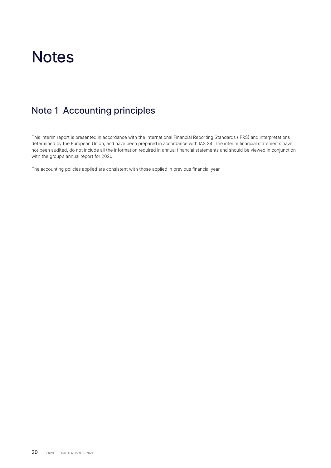### **Notes**

### Note 1 Accounting principles

This interim report is presented in accordance with the International Financial Reporting Standards (IFRS) and interpretations determined by the European Union, and have been prepared in accordance with IAS 34. The interim financial statements have not been audited, do not include all the information required in annual financial statements and should be viewed in conjunction with the group's annual report for 2020.

The accounting policies applied are consistent with those applied in previous financial year.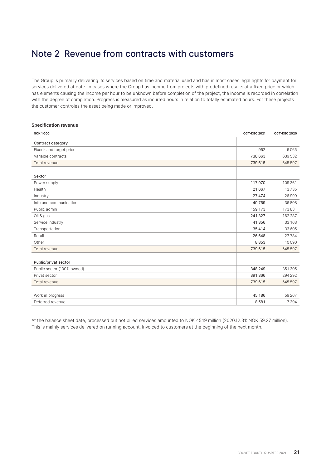### Note 2 Revenue from contracts with customers

The Group is primarily delivering its services based on time and material used and has in most cases legal rights for payment for services delivered at date. In cases where the Group has income from projects with predefined results at a fixed price or which has elements causing the income per hour to be unknown before completion of the project, the income is recorded in correlation with the degree of completion. Progress is measured as incurred hours in relation to totally estimated hours. For these projects the customer controles the asset being made or improved.

### **Specification revenue**

| <b>NOK1000</b>             | <b>OCT-DEC 2021</b> | <b>OCT-DEC 2020</b> |
|----------------------------|---------------------|---------------------|
| Contract category          |                     |                     |
| Fixed- and target price    | 952                 | 6065                |
| Variable contracts         | 738 663             | 639 532             |
| Total revenue              | 739 615             | 645 597             |
|                            |                     |                     |
| Sektor                     |                     |                     |
| Power supply               | 117970              | 109 361             |
| Health                     | 21 667              | 13735               |
| Industry                   | 27 474              | 26 999              |
| Info and communication     | 40759               | 36 808              |
| Public admin               | 159 173             | 173831              |
| Oil & gas                  | 241 327             | 162 287             |
| Service industry           | 41 356              | 33 163              |
| Transportation             | 35 4 14             | 33 605              |
| Retail                     | 26 648              | 27784               |
| Other                      | 8853                | 10 090              |
| Total revenue              | 739 615             | 645 597             |
|                            |                     |                     |
| Public/privat sector       |                     |                     |
| Public sector (100% owned) | 348 249             | 351 305             |
| Privat sector              | 391 366             | 294 292             |
| Total revenue              | 739 615             | 645 597             |
|                            |                     |                     |
| Work in progress           | 45 186              | 59 267              |
| Deferred revenue           | 8581                | 7 3 9 4             |

At the balance sheet date, processed but not billed services amounted to NOK 45.19 million (2020.12.31: NOK 59.27 million). This is mainly services delivered on running account, invoiced to customers at the beginning of the next month.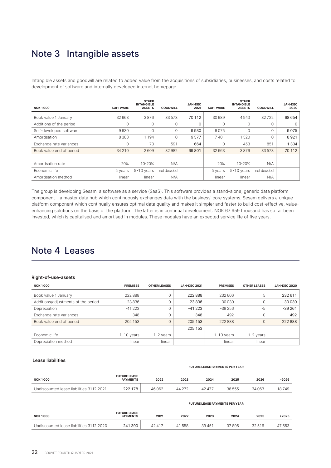### Note 3 Intangible assets

Intangible assets and goodwill are related to added value from the acquisitions of subsidiaries, businesses, and costs related to development of software and internally developed internet homepage.

| <b>NOK1000</b>           | <b>SOFTWARE</b> | <b>OTHER</b><br><b>INTANGIBLE</b><br><b>ASSETS</b> | <b>GOODWILL</b> | <b>JAN-DEC</b><br>2021 | <b>SOFTWARE</b> | <b>OTHER</b><br><b>INTANGIBLE</b><br><b>ASSETS</b> | <b>GOODWILL</b> | <b>JAN-DEC</b><br>2020 |
|--------------------------|-----------------|----------------------------------------------------|-----------------|------------------------|-----------------|----------------------------------------------------|-----------------|------------------------|
| Book value 1 January     | 32 663          | 3876                                               | 33 573          | 70 112                 | 30 989          | 4943                                               | 32722           | 68 654                 |
| Additions of the period  | $\mathbf 0$     | $\circ$                                            | 0               | 0                      | 0               | $\mathbf 0$                                        | 0               | 0                      |
| Self-developed software  | 9930            | $\Omega$                                           | 0               | 9930                   | 9075            | 0                                                  | 0               | 9075                   |
| Amortisation             | $-8383$         | $-1194$                                            | 0               | $-9577$                | $-7401$         | $-1520$                                            | 0               | $-8921$                |
| Exchange rate variances  | $\circ$         | $-73$                                              | $-591$          | $-664$                 | 0               | 453                                                | 851             | 1 3 0 4                |
| Book value end of period | 34 210          | 2609                                               | 32982           | 69801                  | 32 663          | 3876                                               | 33 573          | 70 112                 |
|                          |                 |                                                    |                 |                        |                 |                                                    |                 |                        |
| Amortisation rate        | 20%             | $10 - 20%$                                         | N/A             |                        | 20%             | $10 - 20%$                                         | N/A             |                        |
| Economic life            | 5 years         | $5-10$ years                                       | not decided     |                        | 5 years         | $5-10$ years                                       | not decided     |                        |
| Amortisation method      | linear          | linear                                             | N/A             |                        | linear          | linear                                             | N/A             |                        |

The group is developing Sesam, a software as a service (SaaS). This software provides a stand-alone, generic data platform component – a master data hub which continuously exchanges data with the business' core systems. Sesam delivers a unique platform component which continually ensures optimal data quality and makes it simpler and faster to build cost-effective, valueenhancing solutions on the basis of the platform. The latter is in continual development. NOK 67 959 thousand has so far been invested, which is capitalised and amortised in modules. These modules have an expected service life of five years.

### Note 4 Leases

#### **Right-of-use-assets**

| <b>NOK1000</b>                      | <b>PREMISES</b> | <b>OTHER LEASES</b> | <b>JAN-DEC 2021</b> | <b>PREMISES</b> | <b>OTHER LEASES</b> | <b>JAN-DEC 2020</b> |
|-------------------------------------|-----------------|---------------------|---------------------|-----------------|---------------------|---------------------|
| Book value 1 January                | 222 888         | υ                   | 222888              | 232 606         | 5                   | 232 611             |
| Additions/adjustments of the period | 23836           | U                   | 23836               | 30 0 30         |                     | 30 030              |
| Depreciation                        | $-41223$        | υ                   | $-41223$            | $-39256$        | $-5$                | $-39261$            |
| Exchange rate variances             | $-348$          | U                   | $-348$              | $-492$          |                     | $-492$              |
| Book value end of period            | 205 153         | $\Omega$            | 205 153             | 222888          | 0                   | 222888              |
|                                     |                 |                     | 205 153             |                 |                     |                     |
| Economic life                       | 1-10 years      | 1-2 years           |                     | $1-10$ years    | 1-2 years           |                     |
| Depreciation method                 | linear          | linear              |                     | linear          | linear              |                     |

#### **Lease liabilities**

|                                           |                                        |        | <b>FUTURE LEASE PAYMENTS PER YEAR</b> |        |        |        |       |  |  |  |
|-------------------------------------------|----------------------------------------|--------|---------------------------------------|--------|--------|--------|-------|--|--|--|
| <b>NOK1000</b>                            | <b>FUTURE LEASE</b><br><b>PAYMENTS</b> | 2022   | 2023                                  | 2024   | 2025   | 2026   | >2026 |  |  |  |
| Undiscounted lease liabilities 31.12.2021 | 222 178                                | 46 062 | 44 272                                | 42 477 | 36 555 | 34 063 | 18749 |  |  |  |

|                                           |                                        | <b>FUTURE LEASE PAYMENTS PER YEAR</b> |        |        |       |        |        |
|-------------------------------------------|----------------------------------------|---------------------------------------|--------|--------|-------|--------|--------|
| <b>NOK1000</b>                            | <b>FUTURE LEASE</b><br><b>PAYMENTS</b> | 2021                                  | 2022   | 2023   | 2024  | 2025   | >2025  |
| Undiscounted lease liabilities 31.12.2020 | 241 390                                | 42417                                 | 41 558 | 39 451 | 37895 | 32 516 | 47 553 |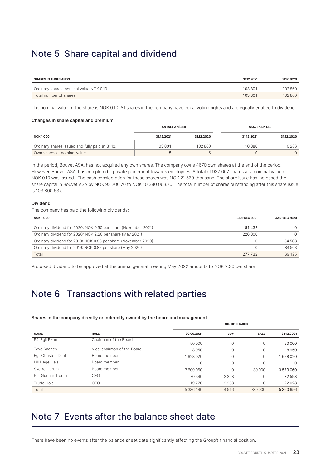### Note 5 Share capital and dividend

| <b>SHARES IN THOUSANDS</b>              | 3112.2021 | 31.12.2020 |
|-----------------------------------------|-----------|------------|
| Ordinary shares, nominal value NOK 0,10 | 103801    | 102 860    |
| Total number of shares                  | 103801    | 102860     |

The nominal value of the share is NOK 0.10. All shares in the company have equal voting rights and are equally entitled to dividend.

#### **Changes in share capital and premium**

|                                                 | <b>ANTALL AKSJER</b> |            | <b>AKSJEKAPITAL</b> |            |  |
|-------------------------------------------------|----------------------|------------|---------------------|------------|--|
| <b>NOK1000</b>                                  | 31.12.2021           | 31.12.2020 | 31.12.2021          | 31.12.2020 |  |
| Ordinary shares issued and fully paid at 31.12. | 103801               | 102 860    | 10380               | 10 286     |  |
| Own shares at nominal value                     | -5                   | -5         |                     |            |  |

In the period, Bouvet ASA, has not acquired any own shares. The company owns 4670 own shares at the end of the period. However, Bouvet ASA, has completed a private placement towards employees. A total of 937 007 shares at a nominal value of NOK 0.10 was issued. The cash consideration for these shares was NOK 21 569 thousand. The share issue has increased the share capital in Bouvet ASA by NOK 93 700.70 to NOK 10 380 063.70. The total number of shares outstanding after this share issue is 103 800 637.

### **Dividend**

The company has paid the following dividends:

| <b>NOK 1000</b>                                                | <b>JAN-DEC 2021</b> | <b>JAN-DEC 2020</b> |
|----------------------------------------------------------------|---------------------|---------------------|
| Ordinary dividend for 2020: NOK 0.50 per share (November 2021) | 51432               |                     |
| Ordinary dividend for 2020: NOK 2.20 per share (May 2021)      | 226 300             | 0                   |
| Ordinary dividend for 2019: NOK 0.83 per share (November 2020) |                     | 84 563              |
| Ordinary dividend for 2019: NOK 0.82 per share (May 2020)      |                     | 84 563              |
| Total                                                          | 277 732             | 169 125             |

Proposed dividend to be approved at the annual general meeting May 2022 amounts to NOK 2.30 per share.

### Note 6 Transactions with related parties

#### **Shares in the company directly or indirectly owned by the board and management**

|                    |                            | <b>NO. OF SHARES</b> |             |             |            |  |  |
|--------------------|----------------------------|----------------------|-------------|-------------|------------|--|--|
| <b>NAME</b>        | <b>ROLE</b>                | 30.09.2021           | <b>BUY</b>  | <b>SALE</b> | 31.12.2021 |  |  |
| Pål Egil Rønn      | Chairman of the Board      | 50 000               | 0           |             | 50 000     |  |  |
| <b>Tove Raanes</b> | Vice-chairman of the Board | 8950                 | $\mathbf 0$ |             | 8950       |  |  |
| Eqil Christen Dahl | Board member               | 1628020              | $\mathbf 0$ |             | 1628020    |  |  |
| Lill Hege Hals     | Board member               |                      | $\mathbf 0$ |             | $\Omega$   |  |  |
| Sverre Hurum       | Board member               | 3609060              | $\mathbf 0$ | $-30000$    | 3579060    |  |  |
| Per Gunnar Tronsli | CEO                        | 70 340               | 2 2 5 8     | O           | 72598      |  |  |
| Trude Hole         | <b>CFO</b>                 | 19770                | 2 2 5 8     |             | 22028      |  |  |
| Total              |                            | 5 386 140            | 4516        | $-30000$    | 5 360 656  |  |  |

### Note 7 Events after the balance sheet date

There have been no events after the balance sheet date significantly effecting the Group's financial position.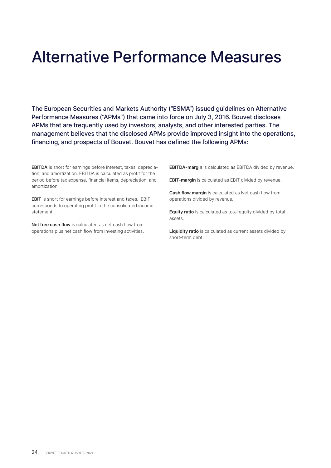## Alternative Performance Measures

The European Securities and Markets Authority ("ESMA") issued guidelines on Alternative Performance Measures ("APMs") that came into force on July 3, 2016. Bouvet discloses APMs that are frequently used by investors, analysts, and other interested parties. The management believes that the disclosed APMs provide improved insight into the operations, financing, and prospects of Bouvet. Bouvet has defined the following APMs:

**EBITDA** is short for earnings before interest, taxes, depreciation, and amortization. EBITDA is calculated as profit for the period before tax expense, financial items, depreciation, and amortization.

**EBIT** is short for earnings before interest and taxes. EBIT corresponds to operating profit in the consolidated income statement.

**Net free cash flow** is calculated as net cash flow from operations plus net cash flow from investing activities. **EBITDA-margin** is calculated as EBITDA divided by revenue.

**EBIT-margin** is calculated as EBIT divided by revenue.

**Cash flow margin** is calculated as Net cash flow from operations divided by revenue.

**Equity ratio** is calculated as total equity divided by total assets.

**Liquidity ratio** is calculated as current assets divided by short-term debt.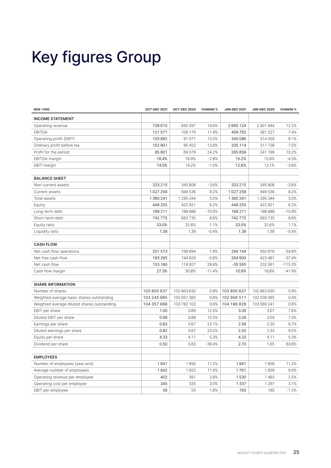# Key figures Group

| <b>NOK1000</b>                              | <b>OCT-DEC 2021</b> | OCT-DEC 2020 | <b>CHANGE %</b> | <b>JAN-DEC 2021</b> | <b>JAN-DEC 2020</b> | <b>CHANGE %</b> |
|---------------------------------------------|---------------------|--------------|-----------------|---------------------|---------------------|-----------------|
| <b>INCOME STATEMENT</b>                     |                     |              |                 |                     |                     |                 |
| Operating revenue                           | 739 615             | 645 597      | 14.6%           | 2695124             | 2 401 844           | 12.2%           |
| <b>EBITDA</b>                               | 121571              | 109 179      | 11.4%           | 409792              | 381 527             | 7.4%            |
| Operating profit (EBIT)                     | 103892              | 91571        | 13.5%           | 340 086             | 314 559             | 8.1%            |
| Ordinary profit before tax                  | 102 901             | 90 452       | 13.8%           | 335 114             | 311738              | 7.5%            |
| Profit for the period                       | 85 801              | 69079        | 24.2%           | 265858              | 241 199             | 10.2%           |
| EBITDA-margin                               | 16.4%               | 16.9%        | $-2.8%$         | 15.2%               | 15.9%               | $-4.3%$         |
| EBIT-margin                                 | 14.0%               | 14.2%        | $-1.0%$         | 12.6%               | 13.1%               | $-3.6%$         |
|                                             |                     |              |                 |                     |                     |                 |
| <b>BALANCE SHEET</b>                        |                     |              |                 |                     |                     |                 |
| Non-current assets                          | 333 215             | 345 808      | $-3.6%$         | 333 215             | 345 808             | $-3.6%$         |
| Current assets                              | 1027258             | 949 536      | 8.2%            | 1027258             | 949 536             | 8.2%            |
| Total assets                                | 1 360 241           | 1 295 344    | 5.0%            | 1 360 241           | 1 295 344           | 5.0%            |
| Equity                                      | 449 255             | 422921       | 6.2%            | 449 255             | 422 921             | 6.2%            |
| Long-term debt                              | 168 211             | 188 688      | $-10.9%$        | 168 211             | 188 688             | $-10.9%$        |
| Short-term debt                             | 742775              | 683735       | 8.6%            | 742775              | 683735              | 8.6%            |
| Equity ratio                                | 33.0%               | 32.6%        | 1.1%            | 33.0%               | 32.6%               | 1.1%            |
| Liquidity ratio                             | 1.38                | 1.39         | $-0.4%$         | 1.38                | 1.39                | $-0.4%$         |
|                                             |                     |              |                 |                     |                     |                 |
| <b>CASH FLOW</b>                            |                     |              |                 |                     |                     |                 |
| Net cash flow operations                    | 201573              | 198 694      | 1.4%            | 294 144             | 450 876             | $-34.8%$        |
| Net free cash flow                          | 193 285             | 194929       | $-0.8%$         | 264 900             | 423 491             | $-37.4%$        |
| Net cash flow                               | 153 180             | 118927       | 28.8%           | $-35595$            | 232 061             | $-115.3%$       |
| Cash flow margin                            | 27.3%               | 30.8%        | $-11.4%$        | 10.9%               | 18.8%               | $-41.9%$        |
|                                             |                     |              |                 |                     |                     |                 |
| <b>SHARE INFORMATION</b>                    |                     |              |                 |                     |                     |                 |
| Number of shares                            | 103 800 637         | 102 863 630  | 0.9%            | 103 800 637         | 102 863 630         | 0.9%            |
| Weighted average basic shares outstanding   | 103 245 985         | 102 657 383  | 0.6%            | 102 956 511         | 102 536 065         | 0.4%            |
| Weighted average diluted shares outstanding | 104 357 686         | 103 782 102  | 0.6%            | 104 186 828         | 103 569 241         | 0.6%            |
| EBIT per share                              | 1.00                | 0.89         | 12.5%           | 3.30                | 3.07                | 7.6%            |
| Diluted EBIT per share                      | 0.99                | 0.88         | 12.5%           | 3.26                | 3.04                | 7.4%            |
| Earnings per share                          | 0.83                | 0.67         | 23.1%           | 2.58                | 2.35                | 9.7%            |
| Diluted earnings per share                  | 0.82                | 0.67         | 23.2%           | 2.55                | 2.33                | 9.5%            |
| Equity per share                            | 4.33                | 4.11         | 5.3%            | 4.33                | 4.11                | 5.3%            |
| Dividend per share                          | 0.50                | 0.83         | $-39.4%$        | 2.70                | 1.65                | 63.6%           |
|                                             |                     |              |                 |                     |                     |                 |
| <b>EMPLOYEES</b>                            |                     |              |                 |                     |                     |                 |
| Number of employees (year end)              | 1841                | 1656         | 11.2%           | 1841                | 1656                | 11.2%           |
| Average number of employees                 | 1842                | 1653         | 11.4%           | 1761                | 1609                | 9.4%            |
| Operating revenue per employee              | 402                 | 391          | 2.8%            | 1530                | 1493                | 2.5%            |
| Operating cost per employee                 | 345                 | 335          | 3.0%            | 1337                | 1 2 9 7             | 3.1%            |
| EBIT per employee                           | 56                  | 55           | 1.8%            | 193                 | 195                 | $-1.2%$         |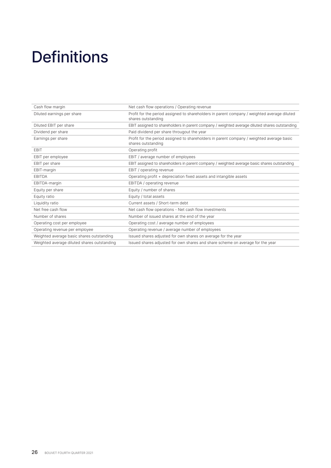# **Definitions**

| Cash flow margin                            | Net cash flow operations / Operating revenue                                                                      |
|---------------------------------------------|-------------------------------------------------------------------------------------------------------------------|
| Diluted earnings per share                  | Profit for the period assigned to shareholders in parent company / weighted average diluted<br>shares outstanding |
| Diluted EBIT per share                      | EBIT assigned to shareholders in parent company / weighted average diluted shares outstanding                     |
| Dividend per share                          | Paid dividend per share througout the year                                                                        |
| Earnings per share                          | Profit for the period assigned to shareholders in parent company / weighted average basic<br>shares outstanding   |
| <b>EBIT</b>                                 | Operating profit                                                                                                  |
| EBIT per employee                           | EBIT / average number of employees                                                                                |
| EBIT per share                              | EBIT assigned to shareholders in parent company / weighted average basic shares outstanding                       |
| EBIT-margin                                 | EBIT / operating revenue                                                                                          |
| <b>EBITDA</b>                               | Operating profit + depreciation fixed assets and intangible assets                                                |
| EBITDA-margin                               | EBITDA / operating revenue                                                                                        |
| Equity per share                            | Equity / number of shares                                                                                         |
| Equity ratio                                | Equity / total assets                                                                                             |
| Liquidity ratio                             | Current assets / Short-term debt                                                                                  |
| Net free cash flow                          | Net cash flow operations - Net cash flow investments                                                              |
| Number of shares                            | Number of issued shares at the end of the year                                                                    |
| Operating cost per employee                 | Operating cost / average number of employees                                                                      |
| Operating revenue per employee              | Operating revenue / average number of employees                                                                   |
| Weighted average basic shares outstanding   | Issued shares adjusted for own shares on average for the year                                                     |
| Weighted average diluted shares outstanding | Issued shares adjusted for own shares and share scheme on average for the year                                    |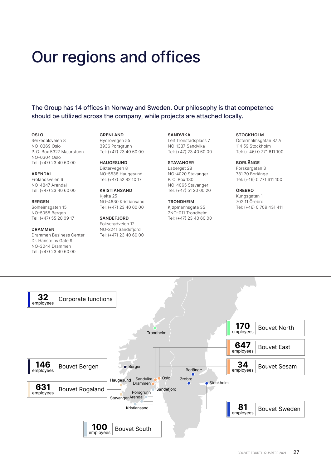## Our regions and offices

The Group has 14 offices in Norway and Sweden. Our philosophy is that competence should be utilized across the company, while projects are attached locally.

#### **OSLO**

Sørkedalsveien 8 NO-0369 Oslo P. O. Box 5327 Majorstuen NO-0304 Oslo Tel: (+47) 23 40 60 00

#### **ARENDAL** Frolandsveien 6

NO-4847 Arendal Tel: (+47) 23 40 60 00

#### **BERGEN** Solheimsgaten 15 NO-5058 Bergen Tel: (+47) 55 20 09 17

#### **DRAMMEN**

Drammen Business Center Dr. Hansteins Gate 9 NO-3044 Drammen Tel: (+47) 23 40 60 00

**GRENLAND** Hydrovegen 55 3936 Porsgrunn Tel: (+47) 23 40 60 00

**HAUGESUND** Diktervegen 8 NO-5538 Haugesund Tel: (+47) 52 82 10 17

**KRISTIANSAND** Kjøita 25 NO-4630 Kristiansand Tel: (+47) 23 40 60 00

#### **SANDEFJORD** Fokserødveien 12 NO-3241 Sandefjord Tel: (+47) 23 40 60 00

**SANDVIKA** Leif Tronstadsplass 7 NO-1337 Sandvika Tel: (+47) 23 40 60 00

#### **STAVANGER** Laberget 28 NO-4020 Stavanger P. O. Box 130 NO-4065 Stavanger Tel: (+47) 51 20 00 20

### **TRONDHEIM**

Kjøpmannsgata 35 7NO-011 Trondheim Tel: (+47) 23 40 60 00

### **STOCKHOLM**

Östermalmsgatan 87 A 114 59 Stockholm Tel: (+ 46) 0 771 611 100

#### **BORLÄNGE**

Forskargatan 3 781 70 Borlänge Tel: (+46) 0 771 611 100

#### **ÖREBRO**

Kungsgatan 1 702 11 Örebro Tel: (+46) 0 709 431 411